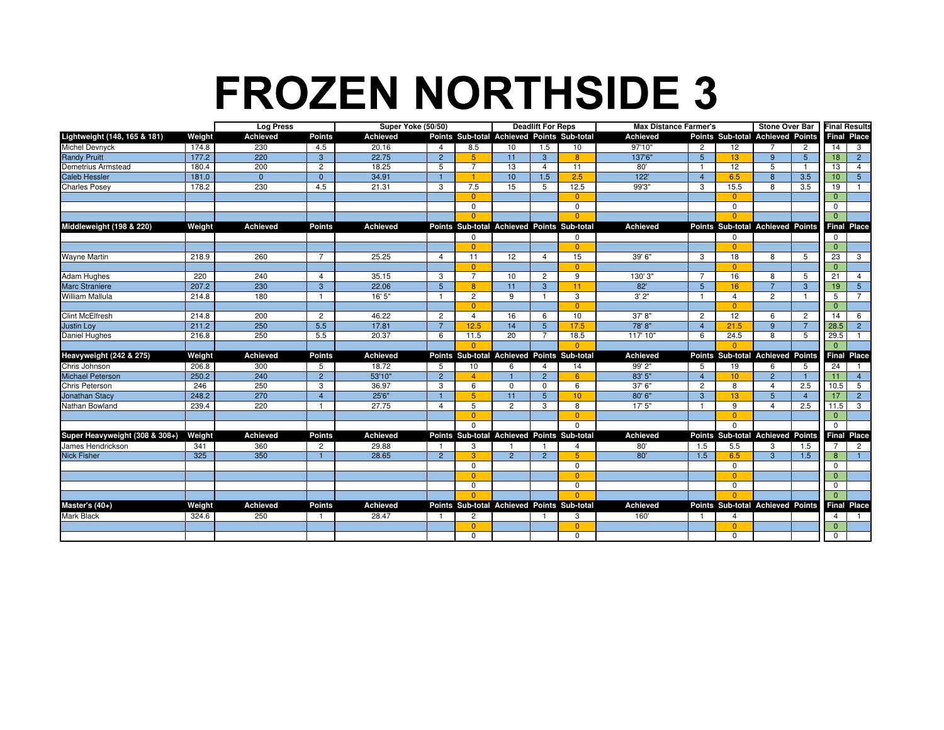## **FROZEN NORTHSIDE 3**

|                                        |        | <b>Log Press</b> |                |          | Super Yoke (50/50) |                                            | <b>Deadlift For Reps</b> |                |                  | <b>Max Distance Farmer's</b> |                |                  | Stone Over Bar                   |                | <b>Final Results</b> |                    |
|----------------------------------------|--------|------------------|----------------|----------|--------------------|--------------------------------------------|--------------------------|----------------|------------------|------------------------------|----------------|------------------|----------------------------------|----------------|----------------------|--------------------|
| Lightweight (148, 165 & 181)<br>Weight |        | <b>Achieved</b>  | <b>Points</b>  | Achieved |                    | Points Sub-total Achieved Points Sub-total |                          |                |                  | <b>Achieved</b>              |                |                  | Points Sub-total Achieved Points |                |                      | <b>Final Place</b> |
| Michel Devnyck                         | 174.8  | 230              | 4.5            | 20.16    | $\overline{4}$     | 8.5                                        | 10                       | 1.5            | 10               | 97'10"                       | $\overline{2}$ | 12               |                                  | $\overline{c}$ | 14                   | $\mathbf{3}$       |
| <b>Randy Pruitt</b>                    | 177.2  | 220              | $\mathbf{3}$   | 22.75    | $\overline{2}$     | 5 <sup>5</sup>                             | 11                       | 3              | 8                | 137'6"                       | 5 <sup>5</sup> | 13               | 9                                | 5              | 18                   | $\overline{2}$     |
| Demetrius Armstead                     | 180.4  | 200              | $\overline{2}$ | 18.25    | 5                  | $\overline{7}$                             | 13                       | $\overline{4}$ | 11               | 80'                          | $\mathbf{1}$   | 12               | 5                                |                | 13                   | $\overline{4}$     |
| <b>Caleb Hessler</b>                   | 181.0  | $\overline{0}$   | $\overline{0}$ | 34.91    | $\mathbf{1}$       |                                            | 10                       | 1.5            | 2.5              | 122                          | $\overline{4}$ | 6.5              | 8                                | 3.5            | 10                   | 5 <sup>5</sup>     |
| <b>Charles Posey</b>                   | 178.2  | 230              | 4.5            | 21.31    | 3                  | 7.5                                        | 15                       | 5              | 12.5             | 99'3"                        | 3              | 15.5             | 8                                | 3.5            | 19                   |                    |
|                                        |        |                  |                |          |                    | $\Omega$                                   |                          |                | $\Omega$         |                              |                | $\Omega$         |                                  |                | $\Omega$             |                    |
|                                        |        |                  |                |          |                    | 0                                          |                          |                | $\mathbf 0$      |                              |                | $\mathbf 0$      |                                  |                | $\mathbf 0$          |                    |
|                                        |        |                  |                |          |                    | $\Omega$                                   |                          |                | $\Omega$         |                              |                | $\Omega$         |                                  |                | $\Omega$             |                    |
| Middleweight (198 & 220)               | Weight | <b>Achieved</b>  | <b>Points</b>  | Achieved |                    | Points Sub-total Achieved Points Sub-total |                          |                |                  | <b>Achieved</b>              |                |                  | Points Sub-total Achieved Points |                |                      | <b>Final Place</b> |
|                                        |        |                  |                |          |                    | $\Omega$                                   |                          |                | $\Omega$         |                              |                | $\Omega$         |                                  |                | $\Omega$             |                    |
|                                        |        |                  |                |          |                    | $\Omega$                                   |                          |                | $\Omega$         |                              |                | $\Omega$         |                                  |                | $\Omega$             |                    |
| <b>Wayne Martin</b>                    | 218.9  | 260              | $\overline{7}$ | 25.25    | 4                  | 11                                         | 12                       | 4              | 15               | 39' 6"                       | 3              | 18               | 8                                | 5              | 23                   | 3                  |
|                                        |        |                  |                |          |                    | $\Omega$                                   |                          |                | $\Omega$         |                              |                | $\Omega$         |                                  |                | $\Omega$             |                    |
| <b>Adam Hughes</b>                     | 220    | 240              | 4              | 35.15    | 3                  | $\overline{7}$                             | 10                       | $\overline{2}$ | 9                | 130'3"                       | $\overline{7}$ | 16               | 8                                | 5              | 21                   | 4                  |
| Marc Straniere                         | 207.2  | 230              | 3              | 22.06    | 5 <sup>5</sup>     | $\overline{8}$                             | 11                       | 3              | 11               | 82'                          | 5              | 16               | $\overline{7}$                   | 3              | 19                   | $5\phantom{.0}$    |
| <b>William Mallula</b>                 | 214.8  | 180              | $\mathbf{1}$   | 16' 5"   | $\mathbf{1}$       | $\overline{2}$                             | 9                        | $\mathbf{1}$   | 3                | 3'2"                         | $\mathbf{1}$   | 4                | $\overline{c}$                   |                | 5                    | $\overline{7}$     |
|                                        |        |                  |                |          |                    | $\Omega$                                   |                          |                | $\Omega$         |                              |                | $\overline{0}$   |                                  |                | $\Omega$             |                    |
| <b>Clint McElfresh</b>                 | 214.8  | 200              | $\overline{2}$ | 46.22    | $\overline{c}$     | $\overline{4}$                             | 16                       | 6              | 10               | 37'8''                       | $\overline{2}$ | 12               | 6                                | $\overline{c}$ | 14                   | 6                  |
| <b>Justin Loy</b>                      | 211.2  | 250              | 5.5            | 17.81    | $\overline{7}$     | 12.5                                       | 14                       | $5\phantom{1}$ | 17.5             | 78'8"                        | $\overline{4}$ | 21.5             | $\overline{9}$                   | $\overline{7}$ | 28.5                 | $\overline{2}$     |
| <b>Daniel Hughes</b>                   | 216.8  | 250              | 5.5            | 20.37    | 6                  | 11.5                                       | 20                       | $\overline{7}$ | 18.5             | 117' 10"                     | 6              | 24.5             | 8                                | 5              | 29.5                 | -1                 |
|                                        |        |                  |                |          |                    | $\Omega$                                   |                          |                | $\Omega$         |                              |                | $\Omega$         |                                  |                | $\Omega$             |                    |
| Heavyweight (242 & 275)                | Weight | Achieved         | <b>Points</b>  | Achieved |                    | Points Sub-total Achieved Points Sub-total |                          |                |                  | <b>Achieved</b>              |                |                  | Points Sub-total Achieved Points |                |                      | <b>Final Place</b> |
| Chris Johnson                          | 206.8  | 300              | 5              | 18.72    | 5                  | 10                                         | 6                        | 4              | 14               | 99'2"                        | 5              | 19               | 6                                | 5              | 24                   |                    |
| <b>Michael Peterson</b>                | 250.2  | 240              | $\overline{2}$ | 53'10"   | $\overline{2}$     | $\overline{4}$                             | $\overline{1}$           | $\overline{2}$ | 6                | 83'5''                       | $\overline{4}$ | 10 <sup>10</sup> | $\overline{2}$                   |                | 11                   | $\overline{4}$     |
| Chris Peterson                         | 246    | 250              | 3              | 36.97    | 3                  | 6                                          | 0                        | $\mathbf 0$    | 6                | 37' 6"                       | $\overline{2}$ | 8                | $\overline{4}$                   | 2.5            | 10.5                 | 5                  |
| <b>Jonathan Stacy</b>                  | 248.2  | 270              | $\overline{4}$ | 25'6"    |                    | 5                                          | 11                       | 5              | 10 <sup>10</sup> | 80'6''                       | 3              | 13               | 5                                | $\overline{4}$ | 17                   | $\overline{2}$     |
| Nathan Bowland                         | 239.4  | 220              | $\overline{1}$ | 27.75    | $\overline{4}$     | 5                                          | $\overline{2}$           | 3              | 8                | 17'5''                       | $\mathbf{1}$   | 9                | $\Delta$                         | 2.5            | 11.5                 | $\mathbf{3}$       |
|                                        |        |                  |                |          |                    | $\Omega$                                   |                          |                | $\Omega$         |                              |                | $\overline{0}$   |                                  |                | $\Omega$             |                    |
|                                        |        |                  |                |          |                    | $\Omega$                                   |                          |                | $\Omega$         |                              |                | $\Omega$         |                                  |                | $\Omega$             |                    |
| Super Heavyweight (308 & 308+)         | Weight | <b>Achieved</b>  | <b>Points</b>  | Achieved |                    | Points Sub-total Achieved Points Sub-total |                          |                |                  | <b>Achieved</b>              |                |                  | Points Sub-total Achieved Points |                |                      | <b>Final Place</b> |
| James Hendrickson                      | 341    | 360              | $\overline{2}$ | 29.88    | - 1                | 3                                          | -1                       | $\overline{1}$ | 4                | 80'                          | 1.5            | 5.5              | 3                                | 1.5            | $\overline{7}$       | $\overline{2}$     |
| <b>Nick Fisher</b>                     | 325    | 350              | $\mathbf{1}$   | 28.65    | $\overline{2}$     | 3                                          | $\overline{2}$           | $\overline{2}$ | 5                | 80'                          | 1.5            | 6.5              | 3                                | 1.5            | 8                    |                    |
|                                        |        |                  |                |          |                    | $\mathbf 0$                                |                          |                | $\mathbf 0$      |                              |                | 0                |                                  |                | $\Omega$             |                    |
|                                        |        |                  |                |          |                    | $\overline{0}$                             |                          |                | $\Omega$         |                              |                | $\overline{0}$   |                                  |                | $\mathbf{0}$         |                    |
|                                        |        |                  |                |          |                    | $\mathbf 0$                                |                          |                | $\mathbf 0$      |                              |                | 0                |                                  |                | $\mathbf 0$          |                    |
|                                        |        |                  |                |          |                    | $\Omega$                                   |                          |                | $\Omega$         |                              |                | $\Omega$         |                                  |                | $\Omega$             |                    |
| Master's $(40+)$                       | Weight | <b>Achieved</b>  | <b>Points</b>  | Achieved |                    | Points Sub-total Achieved Points Sub-total |                          |                |                  | <b>Achieved</b>              |                |                  | Points Sub-total Achieved Points |                |                      | <b>Final Place</b> |
| <b>Mark Black</b>                      | 324.6  | 250              | -1             | 28.47    | - 1                | $\overline{2}$                             |                          | -1             | 3                | 160'                         | -1             | 4                |                                  |                | 4                    | $\blacksquare$     |
|                                        |        |                  |                |          |                    | $\overline{0}$                             |                          |                | $\Omega$         |                              |                | $\overline{0}$   |                                  |                | $\mathbf{0}$         |                    |
|                                        |        |                  |                |          |                    | $\mathbf 0$                                |                          |                | $\Omega$         |                              |                | $\mathbf 0$      |                                  |                | $\mathbf 0$          |                    |